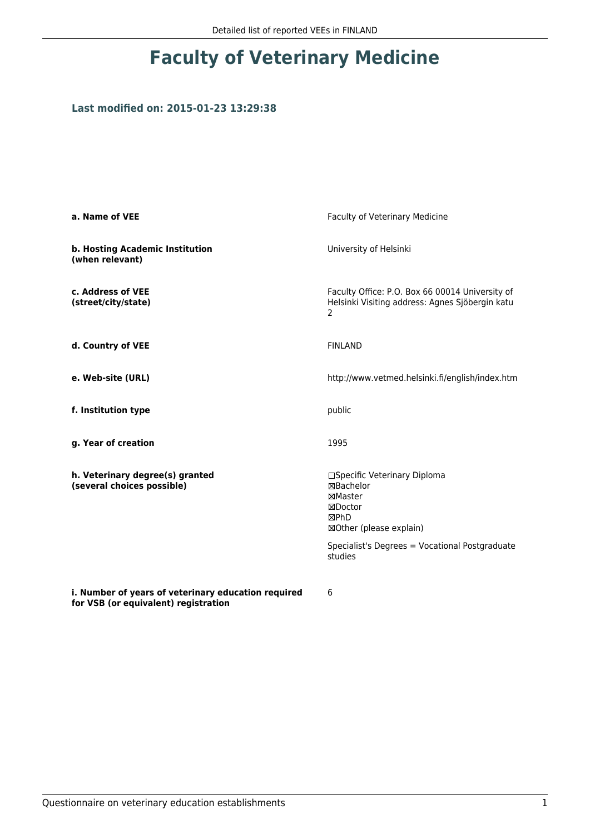## **Faculty of Veterinary Medicine**

## **Last modified on: 2015-01-23 13:29:38**

| Faculty of Veterinary Medicine                                                                                                                                  |  |
|-----------------------------------------------------------------------------------------------------------------------------------------------------------------|--|
| University of Helsinki                                                                                                                                          |  |
| Faculty Office: P.O. Box 66 00014 University of<br>Helsinki Visiting address: Agnes Sjöbergin katu<br>2                                                         |  |
| <b>FINLAND</b>                                                                                                                                                  |  |
| http://www.vetmed.helsinki.fi/english/index.htm                                                                                                                 |  |
| public                                                                                                                                                          |  |
| 1995                                                                                                                                                            |  |
| □Specific Veterinary Diploma<br>⊠Bachelor<br>⊠Master<br>⊠Doctor<br>⊠PhD<br>⊠Other (please explain)<br>Specialist's Degrees = Vocational Postgraduate<br>studies |  |
|                                                                                                                                                                 |  |

**i. Number of years of veterinary education required for VSB (or equivalent) registration**

6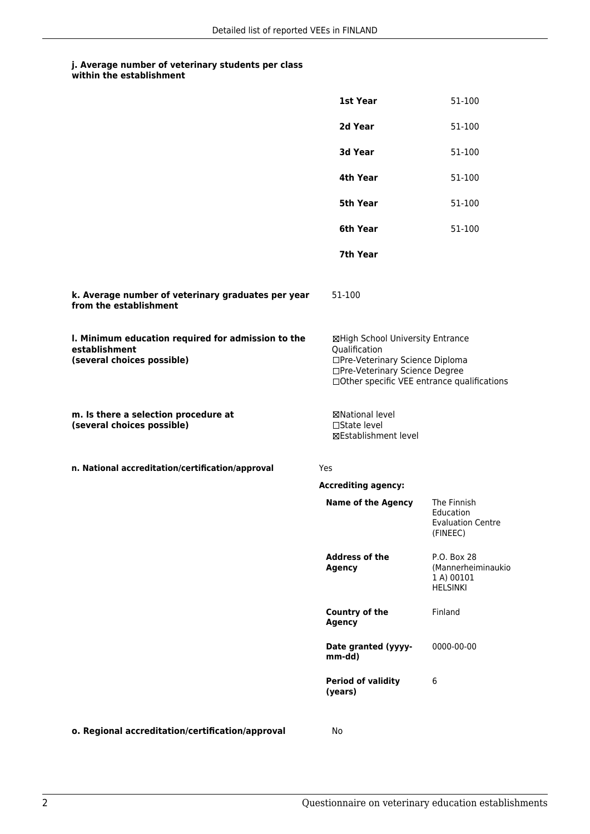## **j. Average number of veterinary students per class**

| within the establishment |  |
|--------------------------|--|
|--------------------------|--|

|                                                                                                   | 1st Year                                                                                                                                                              | 51-100                                                             |
|---------------------------------------------------------------------------------------------------|-----------------------------------------------------------------------------------------------------------------------------------------------------------------------|--------------------------------------------------------------------|
|                                                                                                   | 2d Year                                                                                                                                                               | 51-100                                                             |
|                                                                                                   | 3d Year                                                                                                                                                               | 51-100                                                             |
|                                                                                                   | 4th Year                                                                                                                                                              | 51-100                                                             |
|                                                                                                   | 5th Year                                                                                                                                                              | 51-100                                                             |
|                                                                                                   | 6th Year                                                                                                                                                              | 51-100                                                             |
|                                                                                                   | 7th Year                                                                                                                                                              |                                                                    |
| k. Average number of veterinary graduates per year<br>from the establishment                      | 51-100                                                                                                                                                                |                                                                    |
| I. Minimum education required for admission to the<br>establishment<br>(several choices possible) | ⊠High School University Entrance<br>Qualification<br>□Pre-Veterinary Science Diploma<br>□Pre-Veterinary Science Degree<br>□Other specific VEE entrance qualifications |                                                                    |
| m. Is there a selection procedure at<br>(several choices possible)                                | ⊠National level<br>$\Box$ State level<br><b>⊠Establishment level</b>                                                                                                  |                                                                    |
| n. National accreditation/certification/approval                                                  | Yes                                                                                                                                                                   |                                                                    |
|                                                                                                   | <b>Accrediting agency:</b>                                                                                                                                            |                                                                    |
|                                                                                                   | <b>Name of the Agency</b>                                                                                                                                             | The Finnish<br>Education<br><b>Evaluation Centre</b><br>(FINEEC)   |
|                                                                                                   | <b>Address of the</b><br><b>Agency</b>                                                                                                                                | P.O. Box 28<br>(Mannerheiminaukio<br>1 A) 00101<br><b>HELSINKI</b> |
|                                                                                                   | Country of the<br>Agency                                                                                                                                              | Finland                                                            |
|                                                                                                   | Date granted (yyyy-<br>mm-dd)                                                                                                                                         | 0000-00-00                                                         |
|                                                                                                   | <b>Period of validity</b><br>(years)                                                                                                                                  | 6                                                                  |
| o. Regional accreditation/certification/approval                                                  | No                                                                                                                                                                    |                                                                    |